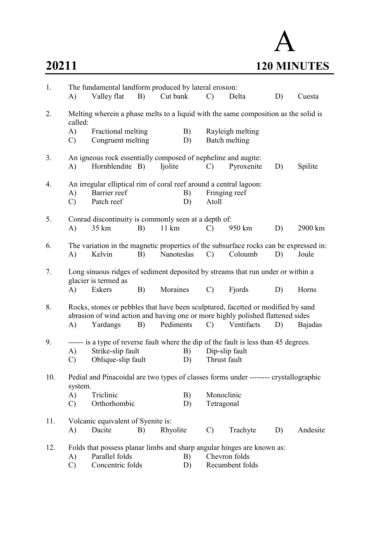## A 20211 120 MINUTES

| 1.  | A)                                                                                                      | The fundamental landform produced by lateral erosion:<br>Valley flat                                                                                                           | B) | Cut bank        |          | $\mathcal{C}$          | Delta                             | D) | Cuesta   |
|-----|---------------------------------------------------------------------------------------------------------|--------------------------------------------------------------------------------------------------------------------------------------------------------------------------------|----|-----------------|----------|------------------------|-----------------------------------|----|----------|
| 2.  | called:                                                                                                 | Melting wherein a phase melts to a liquid with the same composition as the solid is                                                                                            |    |                 |          |                        |                                   |    |          |
|     | A)<br>C)                                                                                                | Fractional melting<br>Congruent melting                                                                                                                                        |    |                 | B)<br>D) |                        | Rayleigh melting<br>Batch melting |    |          |
| 3.  | A)                                                                                                      | An igneous rock essentially composed of nepheline and augite:<br>Hornblendite B)                                                                                               |    | Ijolite         |          | $\mathcal{C}$          | Pyroxenite                        | D) | Spilite  |
| 4.  | A)<br>$\mathcal{C}$                                                                                     | An irregular elliptical rim of coral reef around a central lagoon:<br>Barrier reef<br>Patch reef                                                                               |    |                 | B)<br>D) | Fringing reef<br>Atoll |                                   |    |          |
| 5.  | A)                                                                                                      | Conrad discontinuity is commonly seen at a depth of:<br>35 km                                                                                                                  | B) | $11 \text{ km}$ |          | $\mathcal{C}$          | 950 km                            | D) | 2900 km  |
| 6.  | A)                                                                                                      | The variation in the magnetic properties of the subsurface rocks can be expressed in:<br>Kelvin                                                                                | B) | Nanoteslas      |          | $\mathcal{C}$          | Coloumb                           | D) | Joule    |
| 7.  | Long sinuous ridges of sediment deposited by streams that run under or within a<br>glacier is termed as |                                                                                                                                                                                |    |                 |          |                        |                                   |    |          |
|     | A)                                                                                                      | Eskers                                                                                                                                                                         | B) | Moraines        |          | $\mathcal{C}$          | Fjords                            | D) | Horns    |
| 8.  | A)                                                                                                      | Rocks, stones or pebbles that have been sculptured, facetted or modified by sand<br>abrasion of wind action and having one or more highly polished flattened sides<br>Yardangs | B) | Pediments       |          | $\mathcal{C}$          | Ventifacts                        | D) | Bajadas  |
| 9.  |                                                                                                         | ------ is a type of reverse fault where the dip of the fault is less than 45 degrees.                                                                                          |    |                 |          |                        |                                   |    |          |
|     | A)                                                                                                      | Strike-slip fault                                                                                                                                                              |    |                 | B)       | Dip-slip fault         |                                   |    |          |
|     | $\mathcal{C}$                                                                                           | Oblique-slip fault                                                                                                                                                             |    |                 | D)       | Thrust fault           |                                   |    |          |
| 10. | system.                                                                                                 | Pedial and Pinacoidal are two types of classes forms under -------- crystallographic                                                                                           |    |                 |          |                        |                                   |    |          |
|     | A)                                                                                                      | Triclinic                                                                                                                                                                      |    |                 | B)       | Monoclinic             |                                   |    |          |
|     | $\mathbf{C}$                                                                                            | Orthorhombic                                                                                                                                                                   |    |                 | D)       | Tetragonal             |                                   |    |          |
| 11. |                                                                                                         | Volcanic equivalent of Syenite is:                                                                                                                                             |    |                 |          |                        |                                   |    |          |
|     | A)                                                                                                      | Dacite                                                                                                                                                                         | B) | Rhyolite        |          | $\mathcal{C}$          | Trachyte                          | D) | Andesite |
| 12. |                                                                                                         | Folds that possess planar limbs and sharp angular hinges are known as:                                                                                                         |    |                 |          |                        |                                   |    |          |
|     | A)                                                                                                      | Parallel folds                                                                                                                                                                 |    |                 | B)       |                        | Chevron folds                     |    |          |
|     | $\mathcal{C}$                                                                                           | Concentric folds                                                                                                                                                               |    |                 | D)       |                        | Recumbent folds                   |    |          |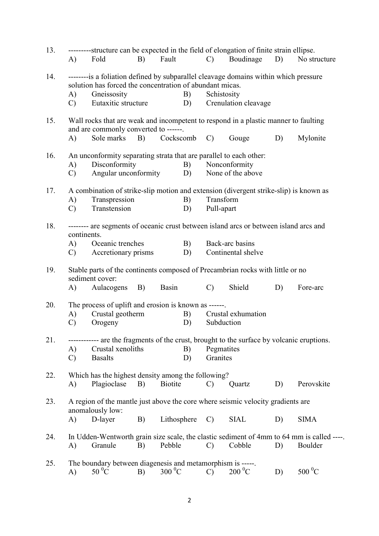| 13. |                                                                                                                                                  | ---------structure can be expected in the field of elongation of finite strain ellipse.                                      |    |                |    |                      |                    |    |                                                                                          |  |  |  |
|-----|--------------------------------------------------------------------------------------------------------------------------------------------------|------------------------------------------------------------------------------------------------------------------------------|----|----------------|----|----------------------|--------------------|----|------------------------------------------------------------------------------------------|--|--|--|
|     | A)                                                                                                                                               | Fold                                                                                                                         | B) | Fault          |    | $\mathcal{C}$        | Boudinage          | D) | No structure                                                                             |  |  |  |
| 14. | --------is a foliation defined by subparallel cleavage domains within which pressure<br>solution has forced the concentration of abundant micas. |                                                                                                                              |    |                |    |                      |                    |    |                                                                                          |  |  |  |
|     | A)                                                                                                                                               | Gneissosity                                                                                                                  |    |                | B) | Schistosity          |                    |    |                                                                                          |  |  |  |
|     | $\mathcal{C}$                                                                                                                                    | Eutaxitic structure                                                                                                          |    |                | D) | Crenulation cleavage |                    |    |                                                                                          |  |  |  |
|     |                                                                                                                                                  |                                                                                                                              |    |                |    |                      |                    |    |                                                                                          |  |  |  |
| 15. |                                                                                                                                                  | Wall rocks that are weak and incompetent to respond in a plastic manner to faulting<br>and are commonly converted to ------. |    |                |    |                      |                    |    |                                                                                          |  |  |  |
|     | $\mathbf{A}$                                                                                                                                     | Sole marks                                                                                                                   | B) | Cockscomb      |    | $\mathcal{C}$        | Gouge              | D) | Mylonite                                                                                 |  |  |  |
| 16. | A)                                                                                                                                               | An unconformity separating strata that are parallel to each other:<br>Disconformity                                          |    |                | B) |                      | Nonconformity      |    |                                                                                          |  |  |  |
|     |                                                                                                                                                  |                                                                                                                              |    |                |    |                      |                    |    |                                                                                          |  |  |  |
|     | $\mathcal{C}$                                                                                                                                    | Angular unconformity                                                                                                         |    |                | D) |                      | None of the above  |    |                                                                                          |  |  |  |
| 17. | A)                                                                                                                                               | A combination of strike-slip motion and extension (divergent strike-slip) is known as<br>Transpression                       |    |                | B) | Transform            |                    |    |                                                                                          |  |  |  |
|     | $\mathcal{C}$                                                                                                                                    | Transtension                                                                                                                 |    |                | D) | Pull-apart           |                    |    |                                                                                          |  |  |  |
|     |                                                                                                                                                  |                                                                                                                              |    |                |    |                      |                    |    |                                                                                          |  |  |  |
| 18. | continents.                                                                                                                                      | -------- are segments of oceanic crust between island arcs or between island arcs and                                        |    |                |    |                      |                    |    |                                                                                          |  |  |  |
|     | A)                                                                                                                                               | Oceanic trenches                                                                                                             |    |                | B) |                      | Back-arc basins    |    |                                                                                          |  |  |  |
|     | $\mathcal{C}$                                                                                                                                    | Accretionary prisms                                                                                                          |    |                | D) |                      | Continental shelve |    |                                                                                          |  |  |  |
| 19. | A)                                                                                                                                               | Stable parts of the continents composed of Precambrian rocks with little or no<br>sediment cover:<br>Aulacogens              | B) | Basin          |    | $\mathcal{C}$        | Shield             | D) | Fore-arc                                                                                 |  |  |  |
|     |                                                                                                                                                  |                                                                                                                              |    |                |    |                      |                    |    |                                                                                          |  |  |  |
| 20. | The process of uplift and erosion is known as ------.                                                                                            |                                                                                                                              |    |                |    |                      |                    |    |                                                                                          |  |  |  |
|     | A)                                                                                                                                               | Crustal geotherm                                                                                                             |    |                | B) |                      | Crustal exhumation |    |                                                                                          |  |  |  |
|     | $\mathcal{C}$                                                                                                                                    | Orogeny                                                                                                                      |    |                | D) | Subduction           |                    |    |                                                                                          |  |  |  |
| 21. |                                                                                                                                                  | ------------ are the fragments of the crust, brought to the surface by volcanic eruptions.                                   |    |                |    |                      |                    |    |                                                                                          |  |  |  |
|     | A)                                                                                                                                               | Crustal xenoliths                                                                                                            |    |                | B) | Pegmatites           |                    |    |                                                                                          |  |  |  |
|     | $\mathcal{C}$                                                                                                                                    | <b>Basalts</b>                                                                                                               |    |                | D) | Granites             |                    |    |                                                                                          |  |  |  |
|     |                                                                                                                                                  |                                                                                                                              |    |                |    |                      |                    |    |                                                                                          |  |  |  |
| 22. |                                                                                                                                                  | Which has the highest density among the following?                                                                           |    |                |    |                      |                    |    |                                                                                          |  |  |  |
|     | A)                                                                                                                                               | Plagioclase                                                                                                                  | B) | <b>Biotite</b> |    | $\mathcal{C}$        | Quartz             | D) | Perovskite                                                                               |  |  |  |
| 23. |                                                                                                                                                  | A region of the mantle just above the core where seismic velocity gradients are<br>anomalously low:                          |    |                |    |                      |                    |    |                                                                                          |  |  |  |
|     | A)                                                                                                                                               | D-layer                                                                                                                      | B) | Lithosphere    |    | $\mathcal{C}$        | <b>SIAL</b>        | D) | <b>SIMA</b>                                                                              |  |  |  |
| 24. |                                                                                                                                                  |                                                                                                                              |    |                |    |                      |                    |    | In Udden-Wentworth grain size scale, the clastic sediment of 4mm to 64 mm is called ---- |  |  |  |
|     | A)                                                                                                                                               | Granule                                                                                                                      | B) | Pebble         |    | $\mathcal{C}$        | Cobble             | D) | Boulder                                                                                  |  |  |  |
|     |                                                                                                                                                  |                                                                                                                              |    |                |    |                      |                    |    |                                                                                          |  |  |  |
| 25. | $\mathbf{A}$                                                                                                                                     | The boundary between diagenesis and metamorphism is -----.<br>$50^{\circ}$ C                                                 | B) | $300\,^0C$     |    | $\mathcal{C}$        | $200\text{ °C}$    | D) | $500\,^0C$                                                                               |  |  |  |
|     |                                                                                                                                                  |                                                                                                                              |    |                |    |                      |                    |    |                                                                                          |  |  |  |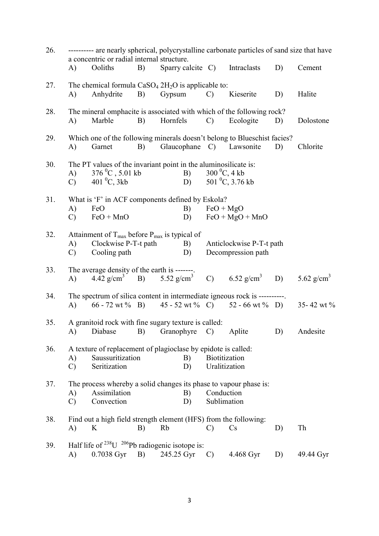| 26. | ---------- are nearly spherical, polycrystalline carbonate particles of sand size that have<br>a concentric or radial internal structure. |                                                                                         |    |            |  |                   |                                     |    |               |
|-----|-------------------------------------------------------------------------------------------------------------------------------------------|-----------------------------------------------------------------------------------------|----|------------|--|-------------------|-------------------------------------|----|---------------|
|     | A)                                                                                                                                        | Ooliths                                                                                 | B) |            |  |                   | Sparry calcite C) Intraclasts       | D) | Cement        |
| 27. |                                                                                                                                           | The chemical formula $CaSO_4 2H_2O$ is applicable to:                                   |    |            |  |                   |                                     |    |               |
|     | A)                                                                                                                                        | Anhydrite                                                                               | B) | Gypsum     |  | $\mathcal{C}$     | Kieserite                           | D) | Halite        |
| 28. |                                                                                                                                           | The mineral omphacite is associated with which of the following rock?                   |    |            |  |                   |                                     |    |               |
|     | A)                                                                                                                                        | Marble                                                                                  | B) | Hornfels   |  | $\mathcal{C}$     | Ecologite                           | D) | Dolostone     |
| 29. |                                                                                                                                           | Which one of the following minerals doesn't belong to Blueschist facies?                |    |            |  |                   |                                     |    |               |
|     | A)                                                                                                                                        | Garnet                                                                                  | B) |            |  |                   | Glaucophane C) Lawsonite            | D) | Chlorite      |
| 30. |                                                                                                                                           | The PT values of the invariant point in the aluminosilicate is:<br>$376\,^0C$ , 5.01 kb |    | B)         |  |                   |                                     |    |               |
|     | A)<br>$\mathbf{C}$                                                                                                                        | 401 $^0C$ , 3kb                                                                         |    | D)         |  | $300\,^0C$ , 4 kb | 501 <sup>o</sup> C, 3.76 kb         |    |               |
|     |                                                                                                                                           |                                                                                         |    |            |  |                   |                                     |    |               |
| 31. |                                                                                                                                           | What is 'F' in ACF components defined by Eskola?                                        |    |            |  |                   |                                     |    |               |
|     | A)                                                                                                                                        | FeO                                                                                     |    | B)         |  | $FeO + MgO$       |                                     |    |               |
|     | $\mathcal{C}$                                                                                                                             | $FeO + MnO$                                                                             |    | D)         |  |                   | $FeO + MgO + MnO$                   |    |               |
| 32. |                                                                                                                                           | Attainment of $T_{\text{max}}$ before $P_{\text{max}}$ is typical of                    |    |            |  |                   |                                     |    |               |
|     | A)                                                                                                                                        | Clockwise P-T-t path                                                                    |    | B)         |  |                   | Anticlockwise P-T-t path            |    |               |
|     | $\mathcal{C}$                                                                                                                             | Cooling path                                                                            |    | D)         |  |                   | Decompression path                  |    |               |
|     |                                                                                                                                           |                                                                                         |    |            |  |                   |                                     |    |               |
| 33. |                                                                                                                                           | The average density of the earth is -------                                             |    |            |  |                   |                                     |    |               |
|     | (A)                                                                                                                                       | 4.42 g/cm <sup>3</sup> B) 5.52 g/cm <sup>3</sup>                                        |    |            |  |                   | C) $6.52 \text{ g/cm}^3$            | D) | 5.62 $g/cm3$  |
| 34. |                                                                                                                                           | The spectrum of silica content in intermediate igneous rock is ----------.              |    |            |  |                   |                                     |    |               |
|     | (A)                                                                                                                                       | $66 - 72$ wt % B)                                                                       |    |            |  |                   | $45 - 52$ wt % C) $52 - 66$ wt % D) |    | 35-42 wt $\%$ |
| 35. |                                                                                                                                           | A granitoid rock with fine sugary texture is called:                                    |    |            |  |                   |                                     |    |               |
|     | A)                                                                                                                                        | Diabase                                                                                 | B) | Granophyre |  | $\mathcal{C}$     | Aplite                              | D) | Andesite      |
| 36. |                                                                                                                                           | A texture of replacement of plagioclase by epidote is called:                           |    |            |  |                   |                                     |    |               |
|     | A)                                                                                                                                        | Saussuritization                                                                        |    | B)         |  | Biotitization     |                                     |    |               |
|     | $\mathcal{C}$                                                                                                                             | Seritization                                                                            |    | D)         |  | Uralitization     |                                     |    |               |
| 37. |                                                                                                                                           | The process whereby a solid changes its phase to vapour phase is:                       |    |            |  |                   |                                     |    |               |
|     | A)                                                                                                                                        | Assimilation                                                                            |    | B)         |  | Conduction        |                                     |    |               |
|     | $\mathcal{C}$                                                                                                                             | Convection                                                                              |    | D)         |  | Sublimation       |                                     |    |               |
| 38. |                                                                                                                                           | Find out a high field strength element (HFS) from the following:                        |    |            |  |                   |                                     |    |               |
|     | A)                                                                                                                                        | K                                                                                       | B) | Rb         |  | $\mathcal{C}$     | $\mathbf{C}\mathbf{s}$              | D) | Th            |
|     |                                                                                                                                           |                                                                                         |    |            |  |                   |                                     |    |               |
| 39. |                                                                                                                                           | Half life of $^{238}$ U $^{206}$ Pb radiogenic isotope is:                              |    |            |  |                   |                                     |    |               |
|     | A)                                                                                                                                        | 0.7038 Gyr                                                                              | B) | 245.25 Gyr |  | $\mathcal{C}$     | 4.468 Gyr                           | D) | 49.44 Gyr     |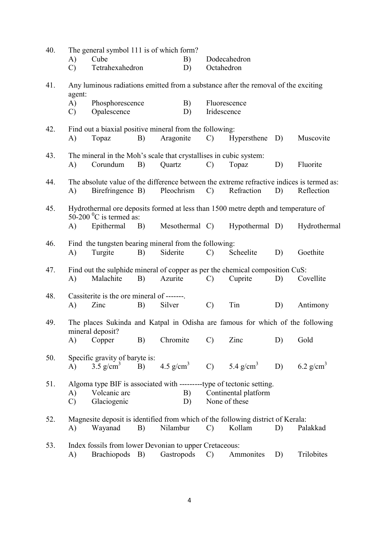| 40. | A)<br>$\mathcal{C}$           | The general symbol 111 is of which form?<br>Cube<br>Tetrahexahedron           |    | B)<br>D)              | Dodecahedron<br>Octahedron |                                                                                                                 |    |                       |  |  |
|-----|-------------------------------|-------------------------------------------------------------------------------|----|-----------------------|----------------------------|-----------------------------------------------------------------------------------------------------------------|----|-----------------------|--|--|
| 41. |                               |                                                                               |    |                       |                            | Any luminous radiations emitted from a substance after the removal of the exciting                              |    |                       |  |  |
|     | agent:<br>A)<br>$\mathcal{C}$ | Phosphorescence<br>Opalescence                                                |    | B)<br>D)              | Iridescence                | Fluorescence                                                                                                    |    |                       |  |  |
| 42. | A)                            | Find out a biaxial positive mineral from the following:<br>Topaz              | B) | Aragonite             | $\mathcal{C}$              | Hypersthene                                                                                                     | D) | Muscovite             |  |  |
| 43. | A)                            | The mineral in the Moh's scale that crystallises in cubic system:<br>Corundum | B) | Quartz                | $\mathcal{C}$              | Topaz                                                                                                           | D) | Fluorite              |  |  |
| 44. | A)                            | Birefringence B)                                                              |    | Pleochrism            | $\mathcal{C}$              | The absolute value of the difference between the extreme refractive indices is termed as:<br>Refraction         | D) | Reflection            |  |  |
| 45. |                               | 50-200 $^0$ C is termed as:                                                   |    |                       |                            | Hydrothermal ore deposits formed at less than 1500 metre depth and temperature of                               |    |                       |  |  |
|     | A)                            | Epithermal                                                                    | B) | Mesothermal C)        |                            | Hypothermal D)                                                                                                  |    | Hydrothermal          |  |  |
| 46. | A)                            | Find the tungsten bearing mineral from the following:<br>Turgite              | B) | Siderite              | $\mathcal{C}$              | Scheelite                                                                                                       | D) | Goethite              |  |  |
| 47. | A)                            | Malachite                                                                     | B) | Azurite               | $\mathcal{C}$              | Find out the sulphide mineral of copper as per the chemical composition CuS:<br>Cuprite                         | D) | Covellite             |  |  |
| 48. |                               | Cassiterite is the ore mineral of -------                                     |    |                       |                            |                                                                                                                 |    |                       |  |  |
|     | A)                            | Zinc                                                                          | B) | Silver                | $\mathcal{C}$              | Tin                                                                                                             | D) | Antimony              |  |  |
| 49. |                               | mineral deposit?                                                              |    |                       |                            | The places Sukinda and Katpal in Odisha are famous for which of the following                                   |    |                       |  |  |
|     | A)                            | Copper                                                                        | B) | Chromite              | $\mathcal{C}$              | Zinc                                                                                                            | D) | Gold                  |  |  |
| 50. | A)                            | Specific gravity of baryte is:<br>$3.5$ g/cm <sup>3</sup>                     | B) | 4.5 g/cm <sup>3</sup> |                            | C) $5.4 \text{ g/cm}^3$                                                                                         | D) | 6.2 g/cm <sup>3</sup> |  |  |
| 51. | A)<br>$\mathcal{C}$           | Volcanic arc<br>Glaciogenic                                                   |    | B)<br>D)              |                            | Algoma type BIF is associated with ----------type of tectonic setting.<br>Continental platform<br>None of these |    |                       |  |  |
| 52. | A)                            | Wayanad                                                                       | B) | Nilambur              | $\mathcal{C}$              | Magnesite deposit is identified from which of the following district of Kerala:<br>Kollam                       | D) | Palakkad              |  |  |
| 53. | A)                            | Index fossils from lower Devonian to upper Cretaceous:<br>Brachiopods B)      |    | Gastropods            | $\mathcal{C}$              | Ammonites                                                                                                       | D) | Trilobites            |  |  |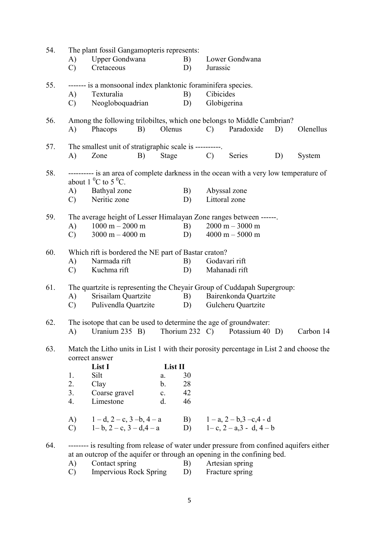| 54. |                | The plant fossil Gangamopteris represents:                                               |         |    |               |                                  |    |           |
|-----|----------------|------------------------------------------------------------------------------------------|---------|----|---------------|----------------------------------|----|-----------|
|     | A)             | Upper Gondwana                                                                           |         | B) |               | Lower Gondwana                   |    |           |
|     | $\mathcal{C}$  | Cretaceous                                                                               |         | D) | Jurassic      |                                  |    |           |
| 55. |                | ------- is a monsoonal index planktonic foraminifera species.                            |         |    |               |                                  |    |           |
|     | A)             | Texturalia                                                                               |         | B) | Cibicides     |                                  |    |           |
|     | $\mathcal{C}$  | Neogloboquadrian                                                                         |         | D) |               | Globigerina                      |    |           |
| 56. |                | Among the following trilobiltes, which one belongs to Middle Cambrian?                   |         |    |               |                                  |    |           |
|     | A)             | Phacops<br>B)                                                                            | Olenus  |    | $\mathcal{C}$ | Paradoxide                       | D) | Olenellus |
| 57. |                | The smallest unit of stratigraphic scale is ----------.                                  |         |    |               |                                  |    |           |
|     | A)             | B)<br>Zone                                                                               | Stage   |    | $\mathcal{C}$ | Series                           | D) | System    |
| 58. |                | ---------- is an area of complete darkness in the ocean with a very low temperature of   |         |    |               |                                  |    |           |
|     |                | about 1 $^0C$ to 5 $^0C$ .                                                               |         |    |               |                                  |    |           |
|     | A)             | Bathyal zone                                                                             |         | B) |               | Abyssal zone                     |    |           |
|     | $\mathcal{C}$  | Neritic zone                                                                             |         | D) |               | Littoral zone                    |    |           |
| 59. |                | The average height of Lesser Himalayan Zone ranges between ------.                       |         |    |               |                                  |    |           |
|     | A)             | $1000 m - 2000 m$                                                                        |         | B) |               | $2000 m - 3000 m$                |    |           |
|     | $\mathbf{C}$ ) | $3000 m - 4000 m$                                                                        |         | D) |               | $4000 m - 5000 m$                |    |           |
| 60. |                | Which rift is bordered the NE part of Bastar craton?                                     |         |    |               |                                  |    |           |
|     | A)             | Narmada rift                                                                             |         | B) |               | Godavari rift                    |    |           |
|     | $\mathcal{C}$  | Kuchma rift                                                                              |         | D) |               | Mahanadi rift                    |    |           |
| 61. |                | The quartzite is representing the Cheyair Group of Cuddapah Supergroup:                  |         |    |               |                                  |    |           |
|     | A)             | Srisailam Quartzite                                                                      |         | B) |               | Bairenkonda Quartzite            |    |           |
|     | $\mathbf{C}$   | Pulivendla Quartzite                                                                     |         | D) |               | Gulcheru Quartzite               |    |           |
| 62. |                | The isotope that can be used to determine the age of groundwater:                        |         |    |               |                                  |    |           |
|     |                | A) Uranium 235 B) Thorium 232 C) Potassium 40 D) Carbon 14                               |         |    |               |                                  |    |           |
| 63. |                | Match the Litho units in List 1 with their porosity percentage in List 2 and choose the  |         |    |               |                                  |    |           |
|     |                | correct answer<br>List I                                                                 | List II |    |               |                                  |    |           |
|     | 1.             | Silt                                                                                     | a.      | 30 |               |                                  |    |           |
|     | 2.             | Clay                                                                                     | b.      | 28 |               |                                  |    |           |
|     | 3.             | Coarse gravel                                                                            | c.      | 42 |               |                                  |    |           |
|     | 4.             | Limestone                                                                                | d.      | 46 |               |                                  |    |           |
|     |                | A) $1-d$ , $2-c$ , $3-b$ , $4-a$                                                         |         |    |               | B) $1-a$ , $2-b$ , $3-c$ , $4-d$ |    |           |
|     |                | C) $1-b$ , $2-c$ , $3-d$ , $4-a$                                                         |         |    |               | D) $1-c, 2-a, 3-d, 4-b$          |    |           |
| 64. |                | -------- is resulting from release of water under pressure from confined aquifers either |         |    |               |                                  |    |           |
|     |                | at an outcrop of the aquifer or through an opening in the confining bed.                 |         |    |               |                                  |    |           |
|     | A)             | Contact spring                                                                           |         | B) |               | Artesian spring                  |    |           |
|     | C)             | <b>Impervious Rock Spring</b>                                                            |         | D) |               | Fracture spring                  |    |           |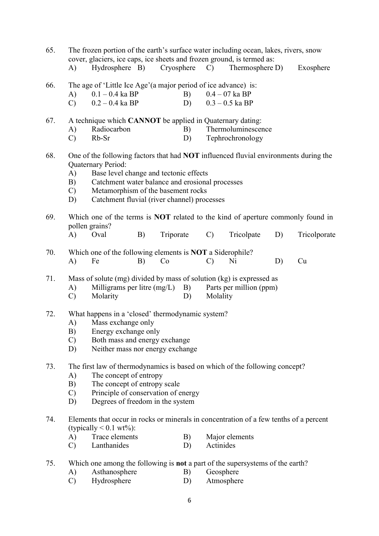| 65. | The frozen portion of the earth's surface water including ocean, lakes, rivers, snow<br>cover, glaciers, ice caps, ice sheets and frozen ground, is termed as: |                                                                        |    |                                     |               |                                                                                        |    |              |  |  |  |  |
|-----|----------------------------------------------------------------------------------------------------------------------------------------------------------------|------------------------------------------------------------------------|----|-------------------------------------|---------------|----------------------------------------------------------------------------------------|----|--------------|--|--|--|--|
|     | A)                                                                                                                                                             | Hydrosphere B)                                                         |    | Cryosphere                          | $\mathbf{C}$  | Thermosphere D)                                                                        |    | Exosphere    |  |  |  |  |
|     |                                                                                                                                                                |                                                                        |    |                                     |               |                                                                                        |    |              |  |  |  |  |
| 66. |                                                                                                                                                                | The age of 'Little Ice Age'(a major period of ice advance) is:         |    |                                     |               |                                                                                        |    |              |  |  |  |  |
|     | A)                                                                                                                                                             | $0.1 - 0.4$ ka BP                                                      |    | B)                                  |               | $0.4 - 07$ ka BP                                                                       |    |              |  |  |  |  |
|     | $\mathcal{C}$                                                                                                                                                  | $0.2 - 0.4$ ka BP                                                      |    | D)                                  |               | $0.3 - 0.5$ ka BP                                                                      |    |              |  |  |  |  |
|     |                                                                                                                                                                |                                                                        |    |                                     |               |                                                                                        |    |              |  |  |  |  |
| 67. |                                                                                                                                                                | A technique which CANNOT be applied in Quaternary dating:              |    |                                     |               |                                                                                        |    |              |  |  |  |  |
|     | A)                                                                                                                                                             | Radiocarbon                                                            |    | B)                                  |               | Thermoluminescence                                                                     |    |              |  |  |  |  |
|     | $\mathcal{C}$                                                                                                                                                  | Rb-Sr                                                                  |    | D)                                  |               | Tephrochronology                                                                       |    |              |  |  |  |  |
| 68. | One of the following factors that had <b>NOT</b> influenced fluvial environments during the                                                                    |                                                                        |    |                                     |               |                                                                                        |    |              |  |  |  |  |
|     |                                                                                                                                                                | <b>Quaternary Period:</b>                                              |    |                                     |               |                                                                                        |    |              |  |  |  |  |
|     | A)                                                                                                                                                             |                                                                        |    |                                     |               |                                                                                        |    |              |  |  |  |  |
|     | Base level change and tectonic effects<br>Catchment water balance and erosional processes<br>B)                                                                |                                                                        |    |                                     |               |                                                                                        |    |              |  |  |  |  |
|     | Metamorphism of the basement rocks<br>$\mathcal{C}$                                                                                                            |                                                                        |    |                                     |               |                                                                                        |    |              |  |  |  |  |
|     | Catchment fluvial (river channel) processes<br>D)                                                                                                              |                                                                        |    |                                     |               |                                                                                        |    |              |  |  |  |  |
|     |                                                                                                                                                                |                                                                        |    |                                     |               |                                                                                        |    |              |  |  |  |  |
| 69. |                                                                                                                                                                |                                                                        |    |                                     |               | Which one of the terms is <b>NOT</b> related to the kind of aperture commonly found in |    |              |  |  |  |  |
|     |                                                                                                                                                                | pollen grains?                                                         |    |                                     |               |                                                                                        |    |              |  |  |  |  |
|     | A)                                                                                                                                                             | Oval                                                                   | B) | Triporate                           | $\mathcal{C}$ | Tricolpate                                                                             | D) | Tricolporate |  |  |  |  |
|     |                                                                                                                                                                |                                                                        |    |                                     |               |                                                                                        |    |              |  |  |  |  |
| 70. | A)                                                                                                                                                             | Which one of the following elements is <b>NOT</b> a Siderophile?<br>Fe | B) | Co                                  | $\mathbf{C}$  | Ni                                                                                     | D) | Cu           |  |  |  |  |
|     |                                                                                                                                                                |                                                                        |    |                                     |               |                                                                                        |    |              |  |  |  |  |
| 71. | Mass of solute (mg) divided by mass of solution (kg) is expressed as                                                                                           |                                                                        |    |                                     |               |                                                                                        |    |              |  |  |  |  |
|     | A)                                                                                                                                                             | Milligrams per litre $(mg/L)$<br>B)<br>Parts per million (ppm)         |    |                                     |               |                                                                                        |    |              |  |  |  |  |
|     | $\mathcal{C}$                                                                                                                                                  | Molarity                                                               |    | D)                                  | Molality      |                                                                                        |    |              |  |  |  |  |
|     |                                                                                                                                                                |                                                                        |    |                                     |               |                                                                                        |    |              |  |  |  |  |
| 72. | What happens in a 'closed' thermodynamic system?                                                                                                               |                                                                        |    |                                     |               |                                                                                        |    |              |  |  |  |  |
|     | A)                                                                                                                                                             | Mass exchange only                                                     |    |                                     |               |                                                                                        |    |              |  |  |  |  |
|     | B)                                                                                                                                                             | Energy exchange only                                                   |    |                                     |               |                                                                                        |    |              |  |  |  |  |
|     | $\mathcal{C}$                                                                                                                                                  | Both mass and energy exchange                                          |    |                                     |               |                                                                                        |    |              |  |  |  |  |
|     | D)                                                                                                                                                             | Neither mass nor energy exchange                                       |    |                                     |               |                                                                                        |    |              |  |  |  |  |
|     |                                                                                                                                                                |                                                                        |    |                                     |               |                                                                                        |    |              |  |  |  |  |
| 73. | The first law of thermodynamics is based on which of the following concept?<br>The concept of entropy                                                          |                                                                        |    |                                     |               |                                                                                        |    |              |  |  |  |  |
|     | A)                                                                                                                                                             | The concept of entropy scale                                           |    |                                     |               |                                                                                        |    |              |  |  |  |  |
|     | B)                                                                                                                                                             |                                                                        |    | Principle of conservation of energy |               |                                                                                        |    |              |  |  |  |  |
|     | $\mathcal{C}$<br>D)                                                                                                                                            | Degrees of freedom in the system                                       |    |                                     |               |                                                                                        |    |              |  |  |  |  |
|     |                                                                                                                                                                |                                                                        |    |                                     |               |                                                                                        |    |              |  |  |  |  |
| 74. |                                                                                                                                                                |                                                                        |    |                                     |               | Elements that occur in rocks or minerals in concentration of a few tenths of a percent |    |              |  |  |  |  |
|     |                                                                                                                                                                | (typically $< 0.1$ wt%):                                               |    |                                     |               |                                                                                        |    |              |  |  |  |  |
|     | A)                                                                                                                                                             | Trace elements                                                         |    | B)                                  |               | Major elements                                                                         |    |              |  |  |  |  |
|     | $\mathcal{C}$                                                                                                                                                  | Lanthanides                                                            |    | D)                                  | Actinides     |                                                                                        |    |              |  |  |  |  |
|     |                                                                                                                                                                |                                                                        |    |                                     |               |                                                                                        |    |              |  |  |  |  |
| 75. |                                                                                                                                                                |                                                                        |    |                                     |               | Which one among the following is <b>not</b> a part of the supersystems of the earth?   |    |              |  |  |  |  |
|     | A)                                                                                                                                                             | Asthanosphere                                                          |    | B)                                  |               | Geosphere                                                                              |    |              |  |  |  |  |

C) Hydrosphere D) Atmosphere D)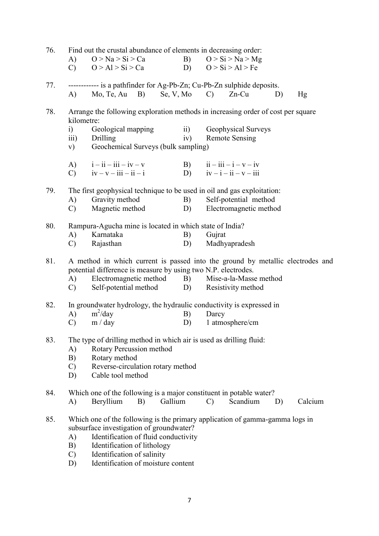| 76. | Find out the crustal abundance of elements in decreasing order:<br>B) $Q > Si > Na > Mg$<br>A) $Q > Na > Si > Ca$                               |                                                                                                 |                              |                          |                                                          |    |         |  |
|-----|-------------------------------------------------------------------------------------------------------------------------------------------------|-------------------------------------------------------------------------------------------------|------------------------------|--------------------------|----------------------------------------------------------|----|---------|--|
|     | $\mathbf{C}$                                                                                                                                    | O > Al > Si > Ca                                                                                |                              |                          | D) $Q > Si > Al > Fe$                                    |    |         |  |
| 77. |                                                                                                                                                 | ------------ is a pathfinder for Ag-Pb-Zn; Cu-Pb-Zn sulphide deposits.<br>$(A)$ Mo, Te, Au B)   | Se, V, Mo $\qquad)$          |                          | $Zn$ -Cu                                                 | D) | Hg      |  |
| 78. | kilometre:                                                                                                                                      | Arrange the following exploration methods in increasing order of cost per square                |                              |                          |                                                          |    |         |  |
|     | i)<br>$\overline{111}$ )<br>V)                                                                                                                  | Geological mapping<br>Drilling<br>Geochemical Surveys (bulk sampling)                           | $\overrightarrow{ii}$<br>iv) |                          | Geophysical Surveys<br><b>Remote Sensing</b>             |    |         |  |
|     | $\mathbf{C}$ )                                                                                                                                  | A) $i - ii - iii - iv - v$<br>$iv - v - iii - ii - i$                                           |                              |                          | B) $ii - iii - i - v - iv$<br>D) $iv - i - ii - v - iii$ |    |         |  |
| 79. |                                                                                                                                                 | The first geophysical technique to be used in oil and gas exploitation:                         |                              |                          |                                                          |    |         |  |
|     | A)<br>$\mathbf{C}$ )                                                                                                                            | Gravity method<br>Magnetic method                                                               | B)<br>D)                     |                          | Self-potential method<br>Electromagnetic method          |    |         |  |
|     |                                                                                                                                                 |                                                                                                 |                              |                          |                                                          |    |         |  |
| 80. | A)                                                                                                                                              | Rampura-Agucha mine is located in which state of India?<br>Karnataka                            | B)                           | Gujrat                   |                                                          |    |         |  |
|     | $\mathcal{C}$                                                                                                                                   | Rajasthan                                                                                       | D)                           |                          | Madhyapradesh                                            |    |         |  |
| 81. | A method in which current is passed into the ground by metallic electrodes and<br>potential difference is measure by using two N.P. electrodes. |                                                                                                 |                              |                          |                                                          |    |         |  |
|     | A)                                                                                                                                              | Electromagnetic method B)<br>C) Self-potential method D) Resistivity method                     |                              |                          | Mise-a-la-Masse method                                   |    |         |  |
| 82. |                                                                                                                                                 | In groundwater hydrology, the hydraulic conductivity is expressed in                            |                              |                          |                                                          |    |         |  |
|     | A)<br>$\mathcal{C}$                                                                                                                             | $m^2$ /day<br>m / day                                                                           | B)<br>D)                     | Darcy<br>1 atmosphere/cm |                                                          |    |         |  |
|     |                                                                                                                                                 |                                                                                                 |                              |                          |                                                          |    |         |  |
| 83. | A)                                                                                                                                              | The type of drilling method in which air is used as drilling fluid:<br>Rotary Percussion method |                              |                          |                                                          |    |         |  |
|     | B)                                                                                                                                              | Rotary method                                                                                   |                              |                          |                                                          |    |         |  |
|     | $\mathcal{C}$<br>D)                                                                                                                             | Reverse-circulation rotary method<br>Cable tool method                                          |                              |                          |                                                          |    |         |  |
| 84. |                                                                                                                                                 | Which one of the following is a major constituent in potable water?                             |                              |                          |                                                          |    |         |  |
|     | A)                                                                                                                                              | Beryllium<br>B)                                                                                 | Gallium                      | $\mathcal{C}$            | Scandium                                                 | D) | Calcium |  |
| 85. |                                                                                                                                                 | Which one of the following is the primary application of gamma-gamma logs in                    |                              |                          |                                                          |    |         |  |
|     | A)                                                                                                                                              | subsurface investigation of groundwater?<br>Identification of fluid conductivity                |                              |                          |                                                          |    |         |  |
|     | B)                                                                                                                                              | Identification of lithology                                                                     |                              |                          |                                                          |    |         |  |
|     | $\mathcal{C}$<br>D)                                                                                                                             | Identification of salinity<br>Identification of moisture content                                |                              |                          |                                                          |    |         |  |
|     |                                                                                                                                                 |                                                                                                 |                              |                          |                                                          |    |         |  |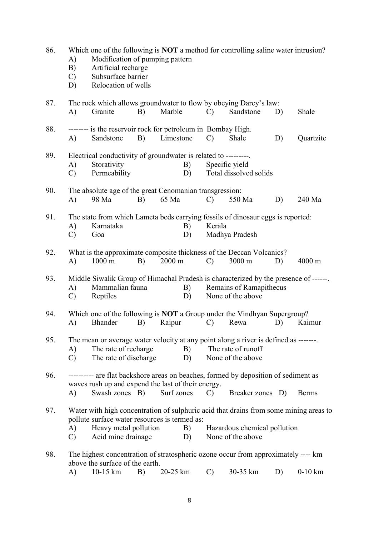| 86. | A)<br>B)<br>$\mathbf{C}$<br>D) | Which one of the following is <b>NOT</b> a method for controlling saline water intrusion?<br>Modification of pumping pattern<br>Artificial recharge<br>Subsurface barrier<br>Relocation of wells |    |                  |                                          |               |                                                                                                                                            |    |                  |
|-----|--------------------------------|--------------------------------------------------------------------------------------------------------------------------------------------------------------------------------------------------|----|------------------|------------------------------------------|---------------|--------------------------------------------------------------------------------------------------------------------------------------------|----|------------------|
| 87. | A)                             | Granite                                                                                                                                                                                          | B) | Marble           |                                          | $\mathcal{C}$ | The rock which allows groundwater to flow by obeying Darcy's law:<br>Sandstone                                                             | D) | Shale            |
| 88. | A)                             | -------- is the reservoir rock for petroleum in Bombay High.<br>Sandstone                                                                                                                        | B) | Limestone        |                                          | $\mathcal{C}$ | Shale                                                                                                                                      | D) | Quartzite        |
| 89. | A)<br>$\mathcal{C}$            | Electrical conductivity of groundwater is related to ---------<br>Storativity<br>Permeability                                                                                                    |    |                  | Specific yield<br>Total dissolved solids |               |                                                                                                                                            |    |                  |
| 90. | $\mathbf{A}$                   | The absolute age of the great Cenomanian transgression:<br>98 Ma                                                                                                                                 | B) | 65 Ma            |                                          | $\mathcal{C}$ | 550 Ma                                                                                                                                     | D) | 240 Ma           |
| 91. | A)<br>$\mathcal{C}$            | Karnataka<br>Goa                                                                                                                                                                                 |    |                  | B)<br>D)                                 | Kerala        | The state from which Lameta beds carrying fossils of dinosaur eggs is reported:<br>Madhya Pradesh                                          |    |                  |
| 92. | A)                             | $1000 \text{ m}$                                                                                                                                                                                 | B) | $2000 \text{ m}$ |                                          | $\mathcal{C}$ | What is the approximate composite thickness of the Deccan Volcanics?<br>3000 m                                                             | D) | $4000 \text{ m}$ |
| 93. | A)<br>$\mathcal{C}$            | Mammalian fauna<br>Reptiles                                                                                                                                                                      |    |                  | B)<br>D)                                 |               | Middle Siwalik Group of Himachal Pradesh is characterized by the presence of ------.<br>Remains of Ramapithecus<br>None of the above       |    |                  |
| 94. | A)                             | Bhander                                                                                                                                                                                          | B) | Raipur           |                                          | $\mathcal{C}$ | Which one of the following is NOT a Group under the Vindhyan Supergroup?<br>Rewa                                                           | D) | Kaimur           |
| 95. | A)<br>$\mathcal{C}$            | The rate of recharge<br>The rate of discharge                                                                                                                                                    |    |                  | B)<br>D)                                 |               | The mean or average water velocity at any point along a river is defined as -------.<br>The rate of runoff<br>None of the above            |    |                  |
| 96. | A)                             | waves rush up and expend the last of their energy.<br>Swash zones B)                                                                                                                             |    | Surf zones       |                                          | $\mathcal{C}$ | ---------- are flat backshore areas on beaches, formed by deposition of sediment as<br>Breaker zones D)                                    |    | <b>Berms</b>     |
| 97. | A)<br>$\mathcal{C}$            | pollute surface water resources is termed as:<br>Heavy metal pollution<br>Acid mine drainage                                                                                                     |    |                  | B)<br>D)                                 |               | Water with high concentration of sulphuric acid that drains from some mining areas to<br>Hazardous chemical pollution<br>None of the above |    |                  |
| 98. | A)                             | above the surface of the earth.<br>10-15 km                                                                                                                                                      | B) | 20-25 km         |                                          | $\mathcal{C}$ | The highest concentration of stratospheric ozone occur from approximately ---- km<br>30-35 km                                              | D) | $0-10$ km        |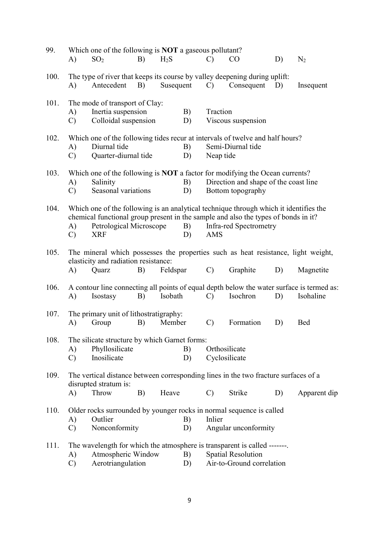| 99.  | A)                                                                                                                                                                | Which one of the following is <b>NOT</b> a gaseous pollutant?<br>SO <sub>2</sub>                                                   | B)                                                                                                                | $H_2S$    |          | $\mathcal{C}$                                                                                                                                                                                                | $\rm CO$                                                   | D) | $N_2$        |  |
|------|-------------------------------------------------------------------------------------------------------------------------------------------------------------------|------------------------------------------------------------------------------------------------------------------------------------|-------------------------------------------------------------------------------------------------------------------|-----------|----------|--------------------------------------------------------------------------------------------------------------------------------------------------------------------------------------------------------------|------------------------------------------------------------|----|--------------|--|
| 100. | A)                                                                                                                                                                | The type of river that keeps its course by valley deepening during uplift:<br>Antecedent                                           | B)                                                                                                                | Susequent |          | $\mathcal{C}$                                                                                                                                                                                                | Consequent                                                 | D) | Insequent    |  |
| 101. | A)<br>$\mathcal{C}$                                                                                                                                               | The mode of transport of Clay:<br>Inertia suspension<br>Colloidal suspension                                                       |                                                                                                                   |           | B)<br>D) | Traction                                                                                                                                                                                                     | Viscous suspension                                         |    |              |  |
| 102. | A)<br>$\mathcal{C}$                                                                                                                                               | Diurnal tide                                                                                                                       | Which one of the following tides recur at intervals of twelve and half hours?<br>B)<br>Quarter-diurnal tide<br>D) |           |          |                                                                                                                                                                                                              | Semi-Diurnal tide<br>Neap tide                             |    |              |  |
| 103. | A)<br>$\mathcal{C}$                                                                                                                                               | Which one of the following is <b>NOT</b> a factor for modifying the Ocean currents?<br>Salinity<br>Seasonal variations             |                                                                                                                   |           | B)<br>D) |                                                                                                                                                                                                              | Direction and shape of the coast line<br>Bottom topography |    |              |  |
| 104. | A)<br>$\mathcal{C}$                                                                                                                                               | Petrological Microscope<br><b>XRF</b>                                                                                              |                                                                                                                   |           | B)<br>D) | Which one of the following is an analytical technique through which it identifies the<br>chemical functional group present in the sample and also the types of bonds in it?<br>Infra-red Spectrometry<br>AMS |                                                            |    |              |  |
| 105. | A)                                                                                                                                                                | The mineral which possesses the properties such as heat resistance, light weight,<br>elasticity and radiation resistance:<br>Quarz | B)                                                                                                                | Feldspar  |          | $\mathcal{C}$                                                                                                                                                                                                | Graphite                                                   | D) | Magnetite    |  |
| 106. | A)                                                                                                                                                                | A contour line connecting all points of equal depth below the water surface is termed as:<br>Isostasy                              | B)                                                                                                                | Isobath   |          | $\mathcal{C}$                                                                                                                                                                                                | Isochron                                                   | D) | Isohaline    |  |
| 107. | A)                                                                                                                                                                | The primary unit of lithostratigraphy:<br>Group                                                                                    | B)                                                                                                                | Member    |          | $\mathcal{C}$                                                                                                                                                                                                | Formation                                                  | D) | <b>Bed</b>   |  |
| 108. | A)<br>$\mathcal{C}$                                                                                                                                               | The silicate structure by which Garnet forms:<br>Phyllosilicate<br>Inosilicate                                                     |                                                                                                                   |           | B)<br>D) | Orthosilicate<br>Cyclosilicate                                                                                                                                                                               |                                                            |    |              |  |
| 109. |                                                                                                                                                                   | The vertical distance between corresponding lines in the two fracture surfaces of a<br>disrupted stratum is:                       |                                                                                                                   |           |          |                                                                                                                                                                                                              |                                                            |    |              |  |
| 110. | Throw<br>Heave<br>B)<br>A)<br>Older rocks surrounded by younger rocks in normal sequence is called<br>Outlier<br>A)<br>B)<br>Nonconformity<br>$\mathcal{C}$<br>D) |                                                                                                                                    |                                                                                                                   |           |          | $\mathcal{C}$<br>Inlier                                                                                                                                                                                      | Strike<br>Angular unconformity                             | D) | Apparent dip |  |
| 111. | A)<br>$\mathcal{C}$                                                                                                                                               | Atmospheric Window<br>Aerotriangulation                                                                                            |                                                                                                                   |           | B)<br>D) | The wavelength for which the atmosphere is transparent is called -------.<br><b>Spatial Resolution</b><br>Air-to-Ground correlation                                                                          |                                                            |    |              |  |